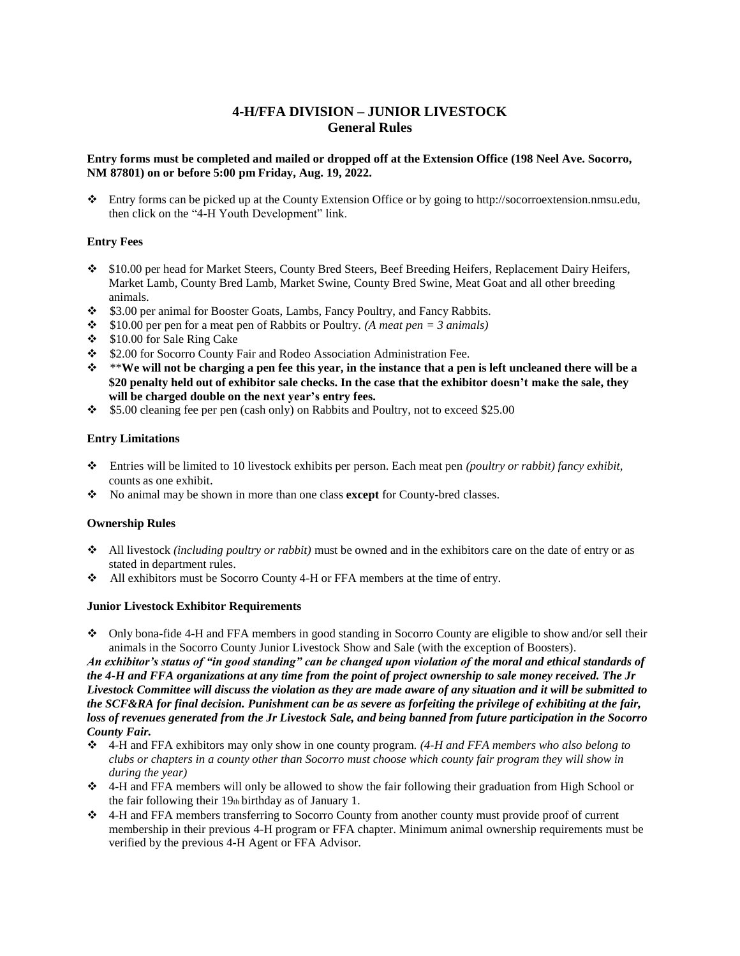## **4-H/FFA DIVISION – JUNIOR LIVESTOCK General Rules**

### Entry forms must be completed and mailed or dropped off at the Extension Office (198 Neel Ave. Socorro, **NM 87801) on or before 5:00 pm Friday, Aug. 19, 2022.**

 Entry forms can be picked up at the County Extension Office or by going to [http://socorroextension.nmsu.edu,](http://socorroextension.nmsu.edu/) then click on the "4-H Youth Development" link.

## **Entry Fees**

- \$10.00 per head for Market Steers, County Bred Steers, Beef Breeding Heifers, Replacement Dairy Heifers, Market Lamb, County Bred Lamb, Market Swine, County Bred Swine, Meat Goat and all other breeding animals.
- $\div$  \$3.00 per animal for Booster Goats, Lambs, Fancy Poultry, and Fancy Rabbits.
- $\div$  \$10.00 per pen for a meat pen of Rabbits or Poultry. *(A meat pen = 3 animals)*
- \$10.00 for Sale Ring Cake
- $\div$  \$2.00 for Socorro County Fair and Rodeo Association Administration Fee.
- $\hat{P}$  \*\*We will not be charging a pen fee this year, in the instance that a pen is left uncleaned there will be a \$20 penalty held out of exhibitor sale checks. In the case that the exhibitor doesn't make the sale, they **will be charged double on the next year's entry fees.**
- $\div$  \$5.00 cleaning fee per pen (cash only) on Rabbits and Poultry, not to exceed \$25.00

### **Entry Limitations**

- Entries will be limited to 10 livestock exhibits per person. Each meat pen *(poultry or rabbit) fancy exhibit,* counts as one exhibit.
- No animal may be shown in more than one class **except** for County-bred classes.

## **Ownership Rules**

- All livestock *(including poultry or rabbit)* must be owned and in the exhibitors care on the date of entry or as stated in department rules.
- All exhibitors must be Socorro County 4-H or FFA members at the time of entry.

#### **Junior Livestock Exhibitor Requirements**

 Only bona-fide 4-H and FFA members in good standing in Socorro County are eligible to show and/or sell their animals in the Socorro County Junior Livestock Show and Sale (with the exception of Boosters).

*An exhibitor's status of "in good standing" can be changed upon violation of the moral and ethical standards of the 4-H and FFA organizations at any time from the point of project ownership to sale money received. The Jr Livestock Committee will discuss the violation as they are made aware of any situation and it will be submitted to the SCF&RA for final decision. Punishment can be as severe as forfeiting the privilege of exhibiting at the fair,* loss of revenues generated from the Jr Livestock Sale, and being banned from future participation in the Socorro *County Fair.*

- 4-H and FFA exhibitors may only show in one county program. *(4-H and FFA members who also belong to clubs or chapters in a county other than Socorro must choose which county fair program they will show in during the year)*
- 4-H and FFA members will only be allowed to show the fair following their graduation from High School or the fair following their 19th birthday as of January 1.
- 4-H and FFA members transferring to Socorro County from another county must provide proof of current membership in their previous 4-H program or FFA chapter. Minimum animal ownership requirements must be verified by the previous 4-H Agent or FFA Advisor.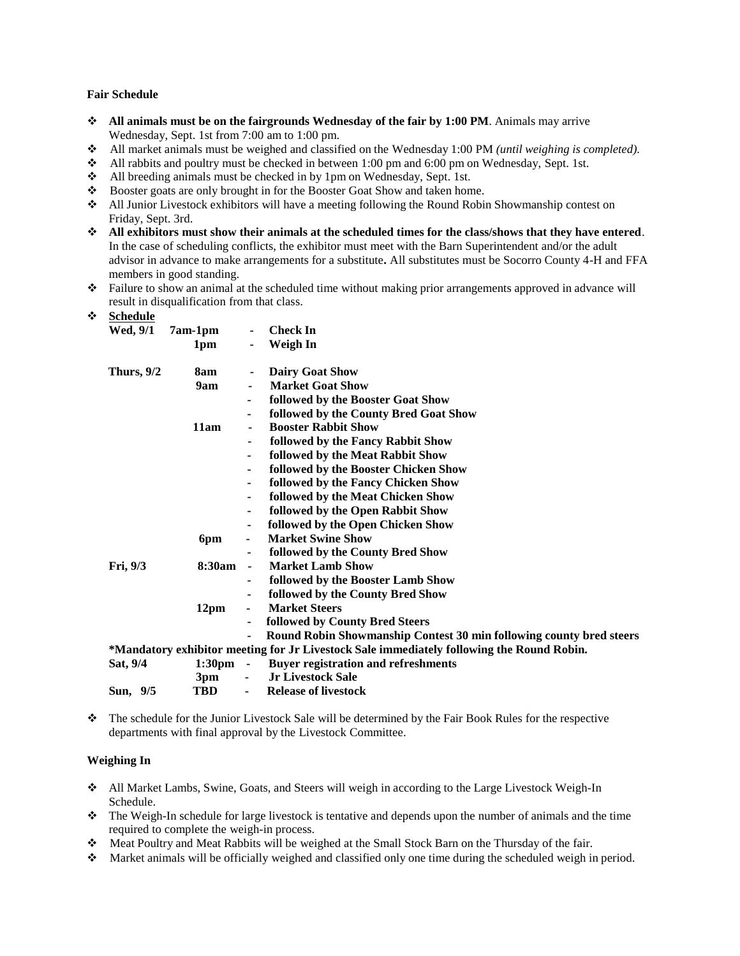#### **Fair Schedule**

- **All animals must be on the fairgrounds Wednesday of the fair by 1:00 PM**. Animals may arrive Wednesday, Sept. 1st from 7:00 am to 1:00 pm.
- All market animals must be weighed and classified on the Wednesday 1:00 PM *(until weighing is completed).*
- $\triangleleft$  All rabbits and poultry must be checked in between 1:00 pm and 6:00 pm on Wednesday, Sept. 1st.
- All breeding animals must be checked in by 1pm on Wednesday, Sept. 1st.
- Booster goats are only brought in for the Booster Goat Show and taken home.
- All Junior Livestock exhibitors will have a meeting following the Round Robin Showmanship contest on Friday, Sept. 3rd.
- **All exhibitors must show their animals at the scheduled times for the class/shows that they have entered**. In the case of scheduling conflicts, the exhibitor must meet with the Barn Superintendent and/or the adult advisor in advance to make arrangements for a substitute**.** All substitutes must be Socorro County 4-H and FFA members in good standing.
- Failure to show an animal at the scheduled time without making prior arrangements approved in advance will result in disqualification from that class.

|--|

| peneume<br>Wed, 9/1 | 7am-1pm            | $\blacksquare$ | <b>Check In</b>                                                                           |
|---------------------|--------------------|----------------|-------------------------------------------------------------------------------------------|
|                     | 1 <sub>pm</sub>    |                | Weigh In                                                                                  |
| Thurs, $9/2$        | 8am                | $\blacksquare$ | <b>Dairy Goat Show</b>                                                                    |
|                     | 9am                | ۰              | <b>Market Goat Show</b>                                                                   |
|                     |                    | $\blacksquare$ | followed by the Booster Goat Show                                                         |
|                     |                    | $\blacksquare$ | followed by the County Bred Goat Show                                                     |
|                     | 11am               |                | <b>Booster Rabbit Show</b>                                                                |
|                     |                    | $\blacksquare$ | followed by the Fancy Rabbit Show                                                         |
|                     |                    |                | followed by the Meat Rabbit Show                                                          |
|                     |                    | $\blacksquare$ | followed by the Booster Chicken Show                                                      |
|                     |                    | $\blacksquare$ | followed by the Fancy Chicken Show                                                        |
|                     |                    | $\blacksquare$ | followed by the Meat Chicken Show                                                         |
|                     |                    | $\blacksquare$ | followed by the Open Rabbit Show                                                          |
|                     |                    | $\blacksquare$ | followed by the Open Chicken Show                                                         |
|                     | 6pm                | -              | <b>Market Swine Show</b>                                                                  |
|                     |                    |                | followed by the County Bred Show                                                          |
| Fri, 9/3            | 8:30am             | $\blacksquare$ | <b>Market Lamb Show</b>                                                                   |
|                     |                    |                | followed by the Booster Lamb Show                                                         |
|                     |                    | $\blacksquare$ | followed by the County Bred Show                                                          |
|                     | 12pm               |                | <b>Market Steers</b>                                                                      |
|                     |                    | $\blacksquare$ | followed by County Bred Steers                                                            |
|                     |                    | $\blacksquare$ | Round Robin Showmanship Contest 30 min following county bred steers                       |
|                     |                    |                | *Mandatory exhibitor meeting for Jr Livestock Sale immediately following the Round Robin. |
| Sat, 9/4            | $1:30 \text{pm}$ - |                | <b>Buyer registration and refreshments</b>                                                |
|                     | 3pm                | $\blacksquare$ | <b>Jr Livestock Sale</b>                                                                  |
| Sun, 9/5            | <b>TBD</b>         | $\blacksquare$ | <b>Release of livestock</b>                                                               |

 The schedule for the Junior Livestock Sale will be determined by the Fair Book Rules for the respective departments with final approval by the Livestock Committee.

#### **Weighing In**

- All Market Lambs, Swine, Goats, and Steers will weigh in according to the Large Livestock Weigh-In Schedule.
- $\bullet$  The Weigh-In schedule for large livestock is tentative and depends upon the number of animals and the time required to complete the weigh-in process.
- Meat Poultry and Meat Rabbits will be weighed at the Small Stock Barn on the Thursday of the fair.
- $\bullet$  Market animals will be officially weighed and classified only one time during the scheduled weigh in period.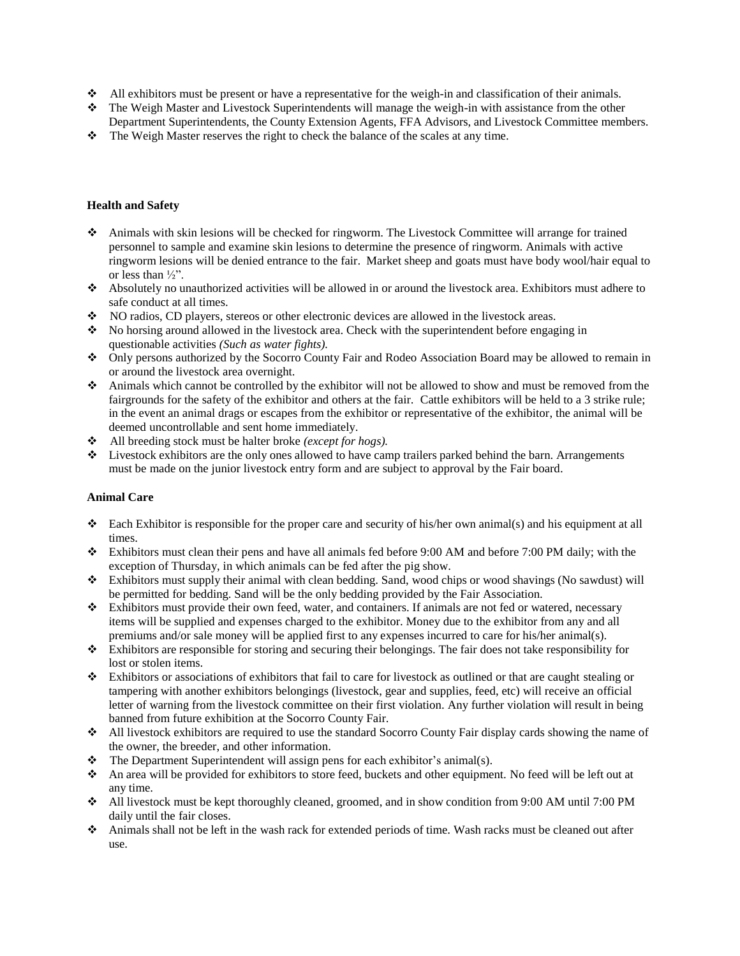- All exhibitors must be present or have a representative for the weigh-in and classification of their animals.
- The Weigh Master and Livestock Superintendents will manage the weigh-in with assistance from the other Department Superintendents, the County Extension Agents, FFA Advisors, and Livestock Committee members.
- $\bullet$  The Weigh Master reserves the right to check the balance of the scales at any time.

## **Health and Safety**

- Animals with skin lesions will be checked for ringworm. The Livestock Committee will arrange for trained personnel to sample and examine skin lesions to determine the presence of ringworm. Animals with active ringworm lesions will be denied entrance to the fair. Market sheep and goats must have body wool/hair equal to or less than  $\frac{1}{2}$ ".
- Absolutely no unauthorized activities will be allowed in or around the livestock area. Exhibitors must adhere to safe conduct at all times.
- NO radios, CD players, stereos or other electronic devices are allowed in the livestock areas.
- No horsing around allowed in the livestock area. Check with the superintendent before engaging in questionable activities *(Such as water fights).*
- Only persons authorized by the Socorro County Fair and Rodeo Association Board may be allowed to remain in or around the livestock area overnight.
- Animals which cannot be controlled by the exhibitor will not be allowed to show and must be removed from the fairgrounds for the safety of the exhibitor and others at the fair. Cattle exhibitors will be held to a 3 strike rule; in the event an animal drags or escapes from the exhibitor or representative of the exhibitor, the animal will be deemed uncontrollable and sent home immediately.
- All breeding stock must be halter broke *(except for hogs).*
- $\bullet$  Livestock exhibitors are the only ones allowed to have camp trailers parked behind the barn. Arrangements must be made on the junior livestock entry form and are subject to approval by the Fair board.

### **Animal Care**

- Each Exhibitor is responsible for the proper care and security of his/her own animal(s) and his equipment at all times.
- Exhibitors must clean their pens and have all animals fed before 9:00 AM and before 7:00 PM daily; with the exception of Thursday, in which animals can be fed after the pig show.
- Exhibitors must supply their animal with clean bedding. Sand, wood chips or wood shavings (No sawdust) will be permitted for bedding. Sand will be the only bedding provided by the Fair Association.
- Exhibitors must provide their own feed, water, and containers. If animals are not fed or watered, necessary items will be supplied and expenses charged to the exhibitor. Money due to the exhibitor from any and all premiums and/or sale money will be applied first to any expenses incurred to care for his/her animal(s).
- $\bullet$  Exhibitors are responsible for storing and securing their belongings. The fair does not take responsibility for lost or stolen items.
- Exhibitors or associations of exhibitors that fail to care for livestock as outlined or that are caught stealing or tampering with another exhibitors belongings (livestock, gear and supplies, feed, etc) will receive an official letter of warning from the livestock committee on their first violation. Any further violation will result in being banned from future exhibition at the Socorro County Fair.
- All livestock exhibitors are required to use the standard Socorro County Fair display cards showing the name of the owner, the breeder, and other information.
- $\bullet$  The Department Superintendent will assign pens for each exhibitor's animal(s).
- An area will be provided for exhibitors to store feed, buckets and other equipment. No feed will be left out at any time.
- All livestock must be kept thoroughly cleaned, groomed, and in show condition from 9:00 AM until 7:00 PM daily until the fair closes.
- Animals shall not be left in the wash rack for extended periods of time. Wash racks must be cleaned out after use.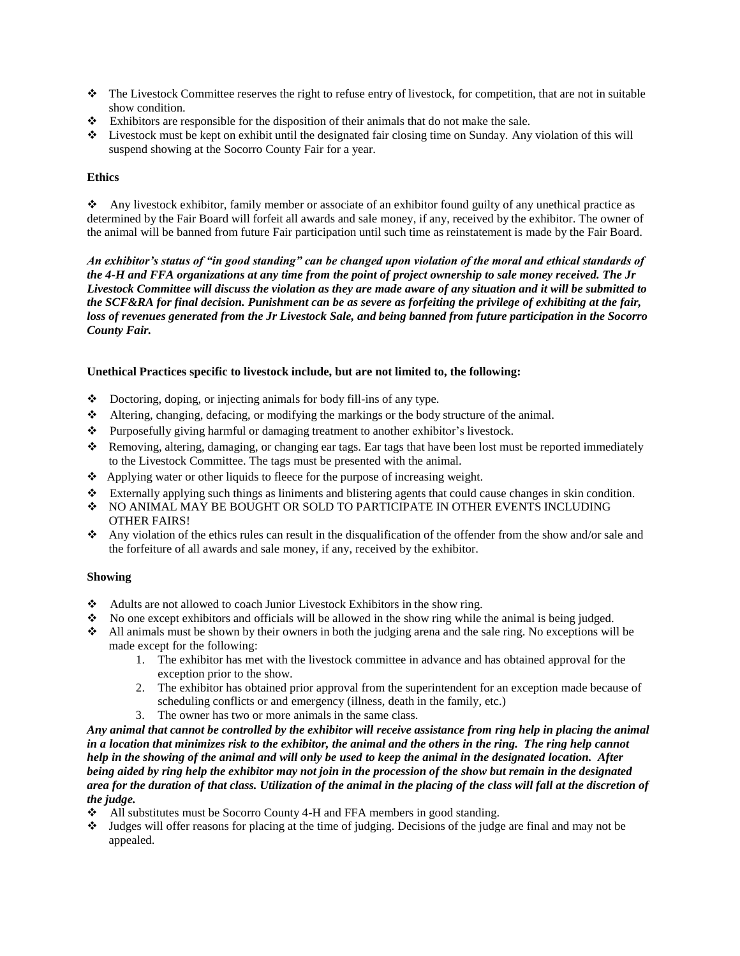- The Livestock Committee reserves the right to refuse entry of livestock, for competition, that are not in suitable show condition.
- $\div$  Exhibitors are responsible for the disposition of their animals that do not make the sale.
- Livestock must be kept on exhibit until the designated fair closing time on Sunday. Any violation of this will suspend showing at the Socorro County Fair for a year.

## **Ethics**

 Any livestock exhibitor, family member or associate of an exhibitor found guilty of any unethical practice as determined by the Fair Board will forfeit all awards and sale money, if any, received by the exhibitor. The owner of the animal will be banned from future Fair participation until such time as reinstatement is made by the Fair Board.

*An exhibitor's status of "in good standing" can be changed upon violation of the moral and ethical standards of the 4-H and FFA organizations at any time from the point of project ownership to sale money received. The Jr Livestock Committee will discuss the violation as they are made aware of any situation and it will be submitted to the SCF&RA for final decision. Punishment can be as severe as forfeiting the privilege of exhibiting at the fair,* loss of revenues generated from the Jr Livestock Sale, and being banned from future participation in the Socorro *County Fair.*

## **Unethical Practices specific to livestock include, but are not limited to, the following:**

- Doctoring, doping, or injecting animals for body fill-ins of any type.
- Altering, changing, defacing, or modifying the markings or the body structure of the animal.
- Purposefully giving harmful or damaging treatment to another exhibitor's livestock.
- Removing, altering, damaging, or changing ear tags. Ear tags that have been lost must be reported immediately to the Livestock Committee. The tags must be presented with the animal.
- Applying water or other liquids to fleece for the purpose of increasing weight.
- Externally applying such things as liniments and blistering agents that could cause changes in skin condition.
- $\div$  NO ANIMAL MAY BE BOUGHT OR SOLD TO PARTICIPATE IN OTHER EVENTS INCLUDING OTHER FAIRS!
- Any violation of the ethics rules can result in the disqualification of the offender from the show and/or sale and the forfeiture of all awards and sale money, if any, received by the exhibitor.

## **Showing**

- Adults are not allowed to coach Junior Livestock Exhibitors in the show ring.
- $\bullet$  No one except exhibitors and officials will be allowed in the show ring while the animal is being judged.
- All animals must be shown by their owners in both the judging arena and the sale ring. No exceptions will be made except for the following:
	- 1. The exhibitor has met with the livestock committee in advance and has obtained approval for the exception prior to the show.
	- 2. The exhibitor has obtained prior approval from the superintendent for an exception made because of scheduling conflicts or and emergency (illness, death in the family, etc.)
	- 3. The owner has two or more animals in the same class.

Any animal that cannot be controlled by the exhibitor will receive assistance from ring help in placing the animal *in a location that minimizes risk to the exhibitor, the animal and the others in the ring. The ring help cannot help in the showing of the animal and will only be used to keep the animal in the designated location. After being aided by ring help the exhibitor may not join in the procession of the show but remain in the designated area for the duration of that class. Utilization of the animal in the placing of the class will fall at the discretion of the judge.*

- All substitutes must be Socorro County 4-H and FFA members in good standing.
- Judges will offer reasons for placing at the time of judging. Decisions of the judge are final and may not be appealed.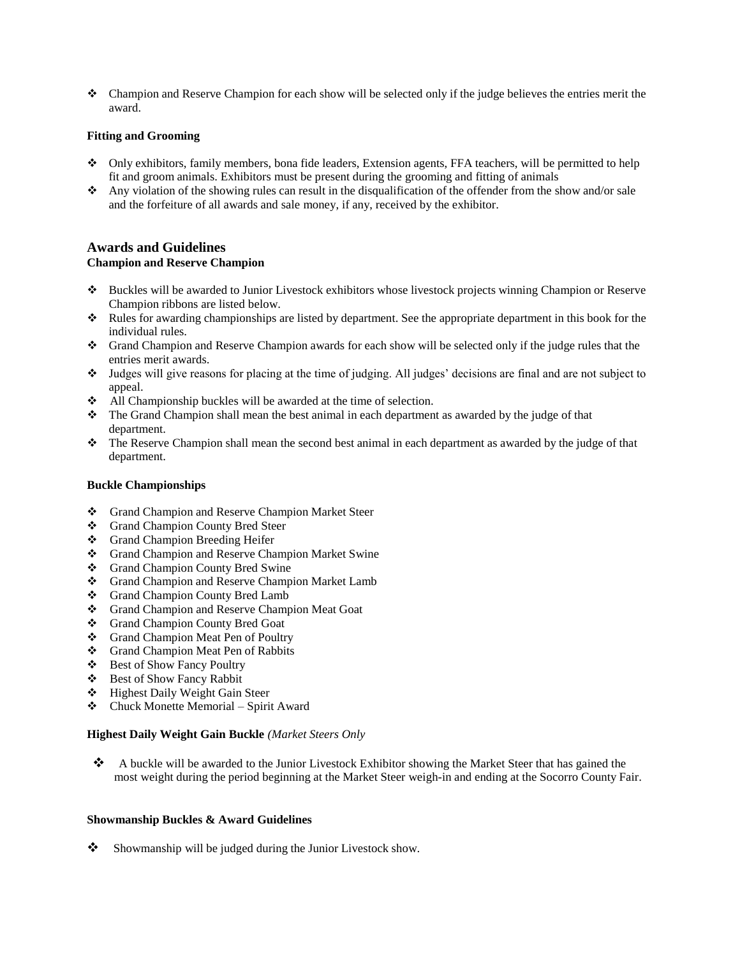Champion and Reserve Champion for each show will be selected only if the judge believes the entries merit the award.

### **Fitting and Grooming**

- Only exhibitors, family members, bona fide leaders, Extension agents, FFA teachers, will be permitted to help fit and groom animals. Exhibitors must be present during the grooming and fitting of animals
- Any violation of the showing rules can result in the disqualification of the offender from the show and/or sale and the forfeiture of all awards and sale money, if any, received by the exhibitor.

## **Awards and Guidelines Champion and Reserve Champion**

- Buckles will be awarded to Junior Livestock exhibitors whose livestock projects winning Champion or Reserve Champion ribbons are listed below.
- Rules for awarding championships are listed by department. See the appropriate department in this book for the individual rules.
- Grand Champion and Reserve Champion awards for each show will be selected only if the judge rules that the entries merit awards.
- Judges will give reasons for placing at the time of judging. All judges' decisions are final and are not subject to appeal.
- All Championship buckles will be awarded at the time of selection.
- The Grand Champion shall mean the best animal in each department as awarded by the judge of that department.
- $\bullet$  The Reserve Champion shall mean the second best animal in each department as awarded by the judge of that department.

### **Buckle Championships**

- Grand Champion and Reserve Champion Market Steer
- Grand Champion County Bred Steer
- Grand Champion Breeding Heifer
- Grand Champion and Reserve Champion Market Swine
- Grand Champion County Bred Swine
- Grand Champion and Reserve Champion Market Lamb
- Grand Champion County Bred Lamb
- Grand Champion and Reserve Champion Meat Goat
- Grand Champion County Bred Goat
- Grand Champion Meat Pen of Poultry
- Grand Champion Meat Pen of Rabbits
- Best of Show Fancy Poultry
- Best of Show Fancy Rabbit
- Highest Daily Weight Gain Steer
- $\triangleleft$  Chuck Monette Memorial Spirit Award

### **Highest Daily Weight Gain Buckle** *(Market Steers Only*

\* A buckle will be awarded to the Junior Livestock Exhibitor showing the Market Steer that has gained the most weight during the period beginning at the Market Steer weigh-in and ending at the Socorro County Fair.

#### **Showmanship Buckles & Award Guidelines**

 $\bullet$  Showmanship will be judged during the Junior Livestock show.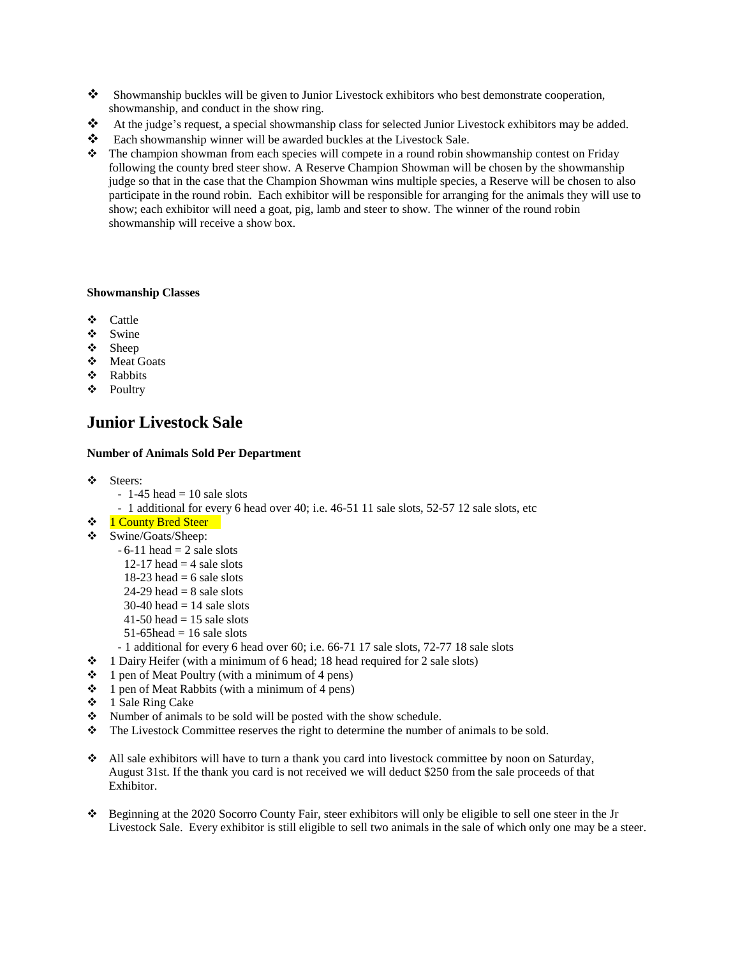- Showmanship buckles will be given to Junior Livestock exhibitors who best demonstrate cooperation, showmanship, and conduct in the show ring.
- At the judge's request, a special showmanship class for selected Junior Livestock exhibitors may be added.
- Each showmanship winner will be awarded buckles at the Livestock Sale.
- $\bullet$  The champion showman from each species will compete in a round robin showmanship contest on Friday following the county bred steer show. A Reserve Champion Showman will be chosen by the showmanship judge so that in the case that the Champion Showman wins multiple species, a Reserve will be chosen to also participate in the round robin. Each exhibitor will be responsible for arranging for the animals they will use to show; each exhibitor will need a goat, pig, lamb and steer to show. The winner of the round robin showmanship will receive a show box.

### **Showmanship Classes**

- Cattle
- Swine
- Sheep
- Meat Goats
- ❖ Rabbits
- Poultry

# **Junior Livestock Sale**

### **Number of Animals Sold Per Department**

- ❖ Steers:
	- $-1-45$  head  $= 10$  sale slots
	- 1 additional for every 6 head over 40; i.e. 46-51 11 sale slots, 52-57 12 sale slots, etc
- ❖ 1 County Bred Steer
- Swine/Goats/Sheep:
	- $-6-11$  head  $= 2$  sale slots
		- 12-17 head  $=$  4 sale slots
		- 18-23 head  $= 6$  sale slots
		- $24-29$  head = 8 sale slots
		- $30-40$  head = 14 sale slots
		- $41-50$  head = 15 sale slots
		- $51-65$ head = 16 sale slots
	- 1 additional for every 6 head over 60; i.e. 66-71 17 sale slots, 72-77 18 sale slots
- $\div$  1 Dairy Heifer (with a minimum of 6 head; 18 head required for 2 sale slots)
- $\div$  1 pen of Meat Poultry (with a minimum of 4 pens)
- $\div$  1 pen of Meat Rabbits (with a minimum of 4 pens)
- $\div$  1 Sale Ring Cake
- $\mathbf{\hat{P}}$  Number of animals to be sold will be posted with the show schedule.
- The Livestock Committee reserves the right to determine the number of animals to be sold.
- All sale exhibitors will have to turn a thank you card into livestock committee by noon on Saturday, August 31st. If the thank you card is not received we will deduct \$250 from the sale proceeds of that Exhibitor.
- Beginning at the 2020 Socorro County Fair, steer exhibitors will only be eligible to sell one steer in the Jr Livestock Sale. Every exhibitor is still eligible to sell two animals in the sale of which only one may be a steer.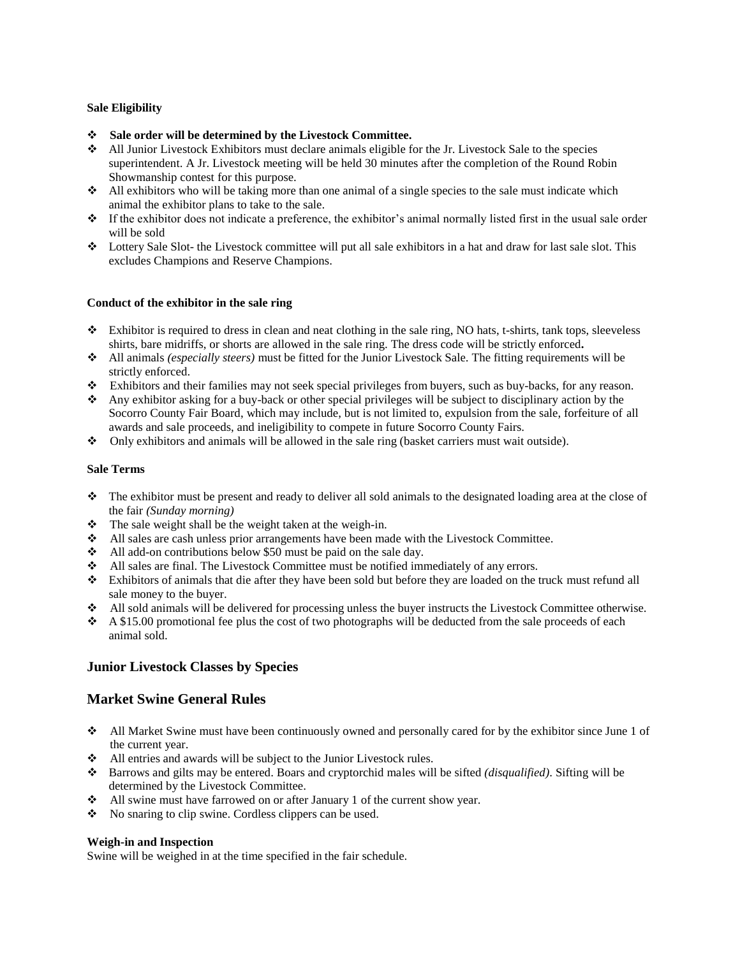## **Sale Eligibility**

- **Sale order will be determined by the Livestock Committee.**
- $\triangle$  All Junior Livestock Exhibitors must declare animals eligible for the Jr. Livestock Sale to the species superintendent. A Jr. Livestock meeting will be held 30 minutes after the completion of the Round Robin Showmanship contest for this purpose.
- $\bullet$  All exhibitors who will be taking more than one animal of a single species to the sale must indicate which animal the exhibitor plans to take to the sale.
- If the exhibitor does not indicate a preference, the exhibitor's animal normally listed first in the usual sale order will be sold
- Lottery Sale Slot- the Livestock committee will put all sale exhibitors in a hat and draw for last sale slot. This excludes Champions and Reserve Champions.

### **Conduct of the exhibitor in the sale ring**

- $\bullet$  Exhibitor is required to dress in clean and neat clothing in the sale ring, NO hats, t-shirts, tank tops, sleeveless shirts, bare midriffs, or shorts are allowed in the sale ring. The dress code will be strictly enforced**.**
- All animals *(especially steers)* must be fitted for the Junior Livestock Sale. The fitting requirements will be strictly enforced.
- Exhibitors and their families may not seek special privileges from buyers, such as buy-backs, for any reason.
- Any exhibitor asking for a buy-back or other special privileges will be subject to disciplinary action by the Socorro County Fair Board, which may include, but is not limited to, expulsion from the sale, forfeiture of all awards and sale proceeds, and ineligibility to compete in future Socorro County Fairs.
- $\bullet$  Only exhibitors and animals will be allowed in the sale ring (basket carriers must wait outside).

### **Sale Terms**

- $\bullet$  The exhibitor must be present and ready to deliver all sold animals to the designated loading area at the close of the fair *(Sunday morning)*
- \* The sale weight shall be the weight taken at the weigh-in.
- All sales are cash unless prior arrangements have been made with the Livestock Committee.
- $\triangleleft$  All add-on contributions below \$50 must be paid on the sale day.
- All sales are final. The Livestock Committee must be notified immediately of any errors.
- Exhibitors of animals that die after they have been sold but before they are loaded on the truck must refund all sale money to the buyer.
- All sold animals will be delivered for processing unless the buyer instructs the Livestock Committee otherwise.
- $\div$  A \$15.00 promotional fee plus the cost of two photographs will be deducted from the sale proceeds of each animal sold.

## **Junior Livestock Classes by Species**

## **Market Swine General Rules**

- All Market Swine must have been continuously owned and personally cared for by the exhibitor since June 1 of the current year.
- All entries and awards will be subject to the Junior Livestock rules.
- Barrows and gilts may be entered. Boars and cryptorchid males will be sifted *(disqualified)*. Sifting will be determined by the Livestock Committee.
- All swine must have farrowed on or after January 1 of the current show year.
- No snaring to clip swine. Cordless clippers can be used.

### **Weigh-in and Inspection**

Swine will be weighed in at the time specified in the fair schedule.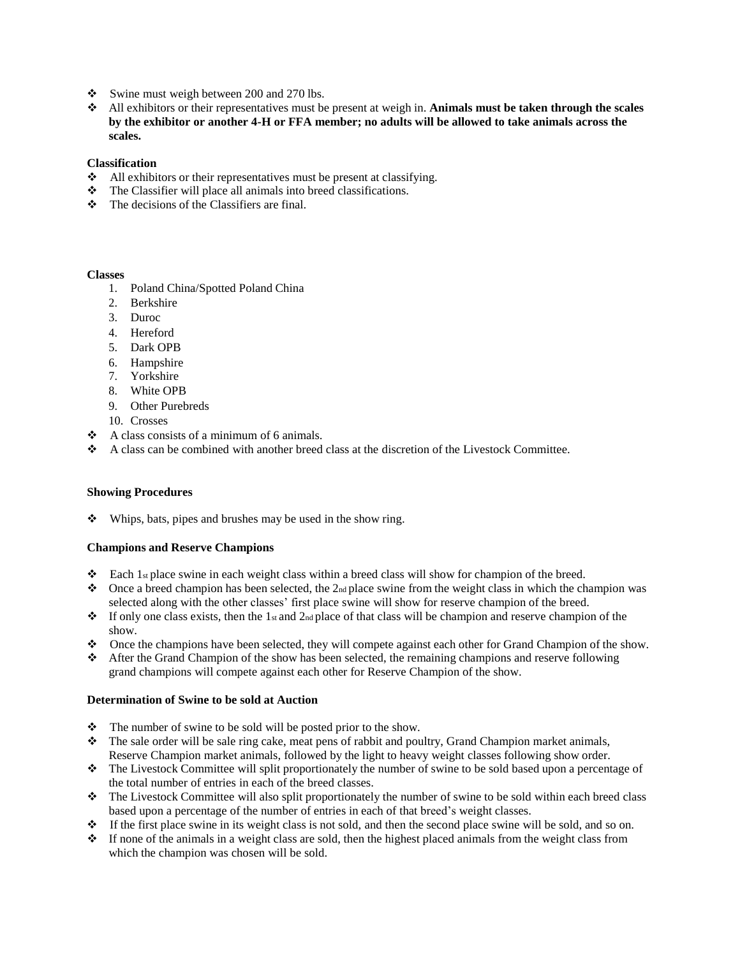- Swine must weigh between 200 and 270 lbs.
- All exhibitors or their representatives must be present at weigh in. **Animals must be taken through the scales by the exhibitor or another 4-H or FFA member; no adults will be allowed to take animals across the scales.**

### **Classification**

- All exhibitors or their representatives must be present at classifying.
- The Classifier will place all animals into breed classifications.
- $\div$  The decisions of the Classifiers are final.

### **Classes**

- 1. Poland China/Spotted Poland China
- 2. Berkshire
- 3. Duroc
- 4. Hereford
- 5. Dark OPB
- 6. Hampshire
- 7. Yorkshire
- 8. White OPB
- 9. Other Purebreds
- 10. Crosses
- $\triangleleft$  A class consists of a minimum of 6 animals.
- $\bullet$  A class can be combined with another breed class at the discretion of the Livestock Committee.

## **Showing Procedures**

 $\mathbf{\hat{P}}$  Whips, bats, pipes and brushes may be used in the show ring.

## **Champions and Reserve Champions**

- Each 1st place swine in each weight class within a breed class will show for champion of the breed.
- $\bullet$  Once a breed champion has been selected, the 2<sub>nd</sub> place swine from the weight class in which the champion was selected along with the other classes' first place swine will show for reserve champion of the breed.
- $\bullet$  If only one class exists, then the 1st and 2nd place of that class will be champion and reserve champion of the show.
- Once the champions have been selected, they will compete against each other for Grand Champion of the show.
- After the Grand Champion of the show has been selected, the remaining champions and reserve following grand champions will compete against each other for Reserve Champion of the show.

## **Determination of Swine to be sold at Auction**

- The number of swine to be sold will be posted prior to the show.
- $\bullet$  The sale order will be sale ring cake, meat pens of rabbit and poultry, Grand Champion market animals, Reserve Champion market animals, followed by the light to heavy weight classes following show order.
- The Livestock Committee will split proportionately the number of swine to be sold based upon a percentage of the total number of entries in each of the breed classes.
- The Livestock Committee will also split proportionately the number of swine to be sold within each breed class based upon a percentage of the number of entries in each of that breed's weight classes.
- $\bullet$  If the first place swine in its weight class is not sold, and then the second place swine will be sold, and so on.
- If none of the animals in a weight class are sold, then the highest placed animals from the weight class from which the champion was chosen will be sold.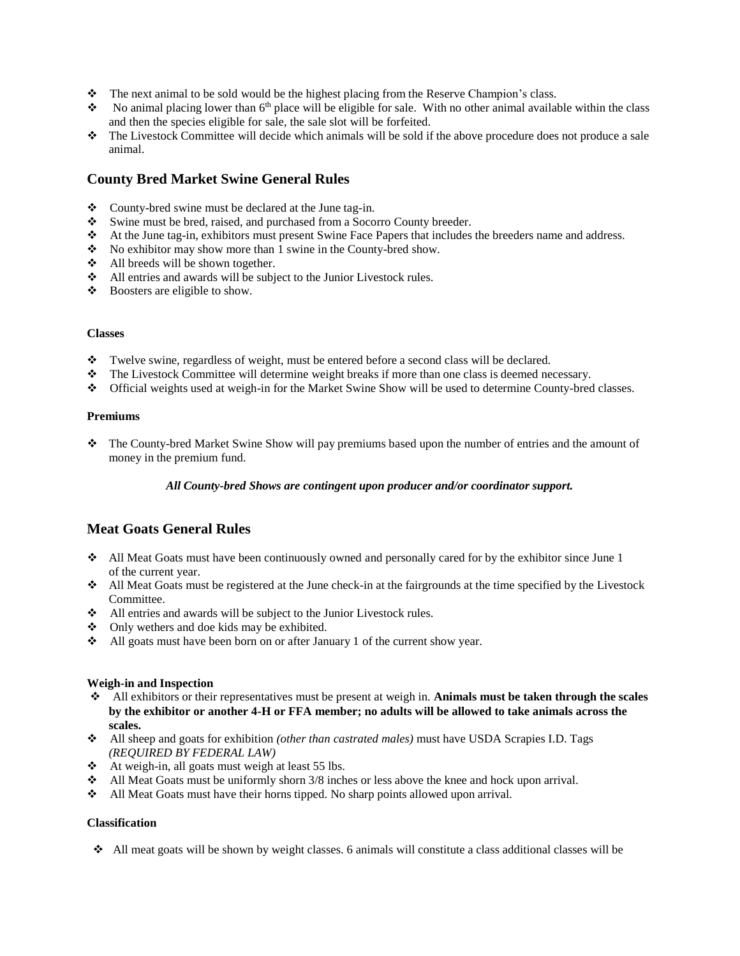- The next animal to be sold would be the highest placing from the Reserve Champion's class.
- No animal placing lower than  $6<sup>th</sup>$  place will be eligible for sale. With no other animal available within the class and then the species eligible for sale, the sale slot will be forfeited.
- The Livestock Committee will decide which animals will be sold if the above procedure does not produce a sale animal.

## **County Bred Market Swine General Rules**

- \* County-bred swine must be declared at the June tag-in.
- Swine must be bred, raised, and purchased from a Socorro County breeder.
- At the June tag-in, exhibitors must present Swine Face Papers that includes the breeders name and address.
- \* No exhibitor may show more than 1 swine in the County-bred show.
- All breeds will be shown together.
- All entries and awards will be subject to the Junior Livestock rules.
- Boosters are eligible to show.

#### **Classes**

- \* Twelve swine, regardless of weight, must be entered before a second class will be declared.
- The Livestock Committee will determine weight breaks if more than one class is deemed necessary.
- Official weights used at weigh-in for the Market Swine Show will be used to determine County-bred classes.

### **Premiums**

 The County-bred Market Swine Show will pay premiums based upon the number of entries and the amount of money in the premium fund.

## *All County-bred Shows are contingent upon producer and/or coordinator support.*

## **Meat Goats General Rules**

- $\bullet$  All Meat Goats must have been continuously owned and personally cared for by the exhibitor since June 1 of the current year.
- $\triangleleft$  All Meat Goats must be registered at the June check-in at the fairgrounds at the time specified by the Livestock Committee.
- All entries and awards will be subject to the Junior Livestock rules.
- $\triangleleft$  Only wethers and doe kids may be exhibited.
- All goats must have been born on or after January 1 of the current show year.

## **Weigh-in and Inspection**

- All exhibitors or their representatives must be present at weigh in. **Animals must be taken through the scales by the exhibitor or another 4-H or FFA member; no adults will be allowed to take animals across the scales.**
- All sheep and goats for exhibition *(other than castrated males)* must have USDA Scrapies I.D. Tags *(REQUIRED BY FEDERAL LAW)*
- $\triangleleft$  At weigh-in, all goats must weigh at least 55 lbs.
- $\triangleleft$  All Meat Goats must be uniformly shorn 3/8 inches or less above the knee and hock upon arrival.
- All Meat Goats must have their horns tipped. No sharp points allowed upon arrival.

## **Classification**

 $\triangle$  All meat goats will be shown by weight classes. 6 animals will constitute a class additional classes will be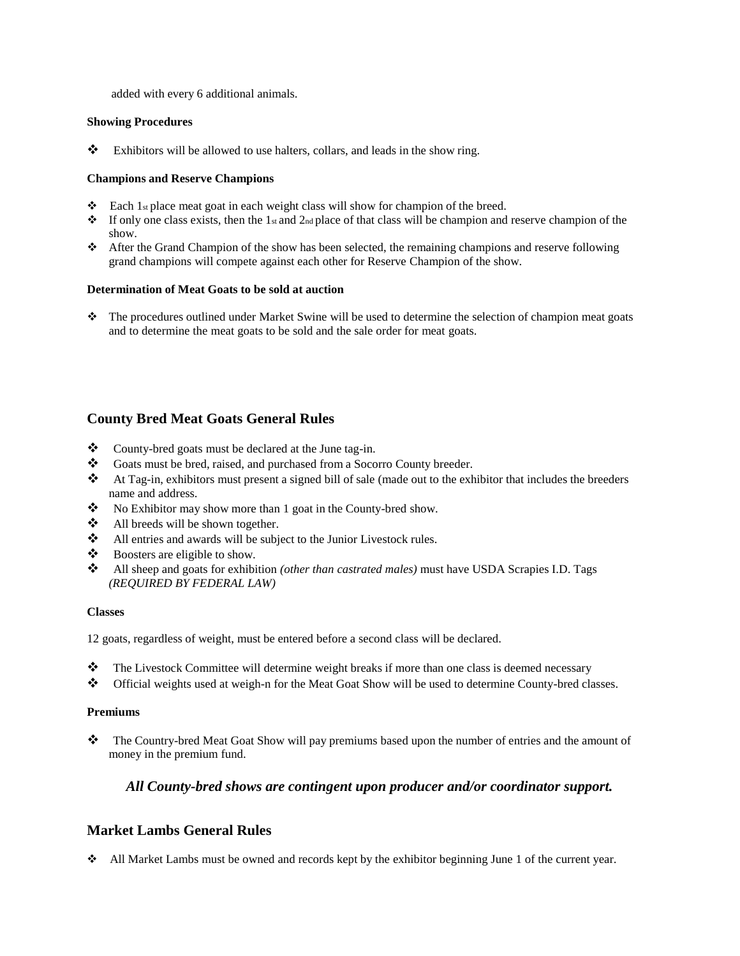added with every 6 additional animals.

### **Showing Procedures**

\*\* Exhibitors will be allowed to use halters, collars, and leads in the show ring.

### **Champions and Reserve Champions**

- $\bullet$  Each 1st place meat goat in each weight class will show for champion of the breed.
- $\bullet$  If only one class exists, then the 1st and 2nd place of that class will be champion and reserve champion of the show.
- After the Grand Champion of the show has been selected, the remaining champions and reserve following grand champions will compete against each other for Reserve Champion of the show.

### **Determination of Meat Goats to be sold at auction**

 The procedures outlined under Market Swine will be used to determine the selection of champion meat goats and to determine the meat goats to be sold and the sale order for meat goats.

## **County Bred Meat Goats General Rules**

- \* County-bred goats must be declared at the June tag-in.
- Goats must be bred, raised, and purchased from a Socorro County breeder.
- At Tag-in, exhibitors must present a signed bill of sale (made out to the exhibitor that includes the breeders name and address.
- No Exhibitor may show more than 1 goat in the County-bred show.
- All breeds will be shown together.
- All entries and awards will be subject to the Junior Livestock rules.
- Boosters are eligible to show.
- All sheep and goats for exhibition *(other than castrated males)* must have USDA Scrapies I.D. Tags *(REQUIRED BY FEDERAL LAW)*

#### **Classes**

12 goats, regardless of weight, must be entered before a second class will be declared.

- The Livestock Committee will determine weight breaks if more than one class is deemed necessary
- Official weights used at weigh-n for the Meat Goat Show will be used to determine County-bred classes.

## **Premiums**

\*\*\*\*\*\* The Country-bred Meat Goat Show will pay premiums based upon the number of entries and the amount of money in the premium fund.

## *All County-bred shows are contingent upon producer and/or coordinator support.*

## **Market Lambs General Rules**

All Market Lambs must be owned and records kept by the exhibitor beginning June 1 of the current year.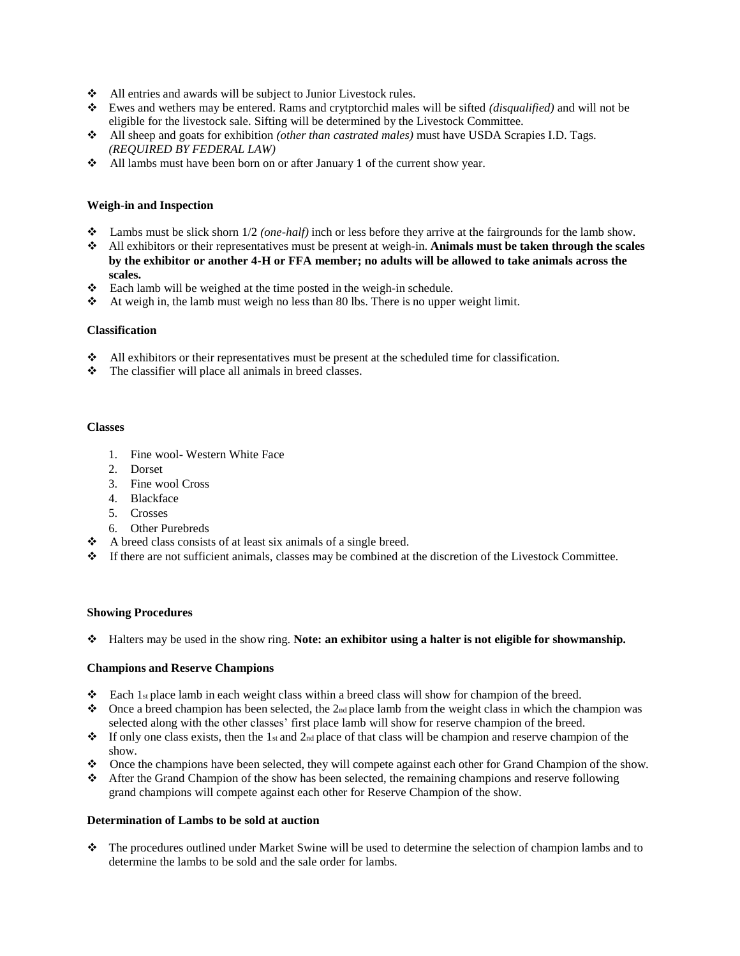- All entries and awards will be subject to Junior Livestock rules.
- Ewes and wethers may be entered. Rams and crytptorchid males will be sifted *(disqualified)* and will not be eligible for the livestock sale. Sifting will be determined by the Livestock Committee.
- All sheep and goats for exhibition *(other than castrated males)* must have USDA Scrapies I.D. Tags. *(REQUIRED BY FEDERAL LAW)*
- All lambs must have been born on or after January 1 of the current show year.

### **Weigh-in and Inspection**

- Lambs must be slick shorn 1/2 *(one-half)* inch or less before they arrive at the fairgrounds for the lamb show.
- All exhibitors or their representatives must be present at weigh-in. **Animals must be taken through the scales by the exhibitor or another 4-H or FFA member; no adults will be allowed to take animals across the scales.**
- Each lamb will be weighed at the time posted in the weigh-in schedule.
- $\triangleleft$  At weigh in, the lamb must weigh no less than 80 lbs. There is no upper weight limit.

#### **Classification**

- $\triangleleft$  All exhibitors or their representatives must be present at the scheduled time for classification.
- \* The classifier will place all animals in breed classes.

#### **Classes**

- 1. Fine wool- Western White Face
- 2. Dorset
- 3. Fine wool Cross
- 4. Blackface
- 5. Crosses
- 6. Other Purebreds
- $\triangle$  A breed class consists of at least six animals of a single breed.
- If there are not sufficient animals, classes may be combined at the discretion of the Livestock Committee.

#### **Showing Procedures**

Halters may be used in the show ring. **Note: an exhibitor using a halter is not eligible for showmanship.**

#### **Champions and Reserve Champions**

- Each 1st place lamb in each weight class within a breed class will show for champion of the breed.
- $\bullet$  Once a breed champion has been selected, the 2<sub>nd</sub> place lamb from the weight class in which the champion was selected along with the other classes' first place lamb will show for reserve champion of the breed.
- $\bullet$  If only one class exists, then the 1st and 2nd place of that class will be champion and reserve champion of the show.
- Once the champions have been selected, they will compete against each other for Grand Champion of the show.
- After the Grand Champion of the show has been selected, the remaining champions and reserve following grand champions will compete against each other for Reserve Champion of the show.

### **Determination of Lambs to be sold at auction**

 The procedures outlined under Market Swine will be used to determine the selection of champion lambs and to determine the lambs to be sold and the sale order for lambs.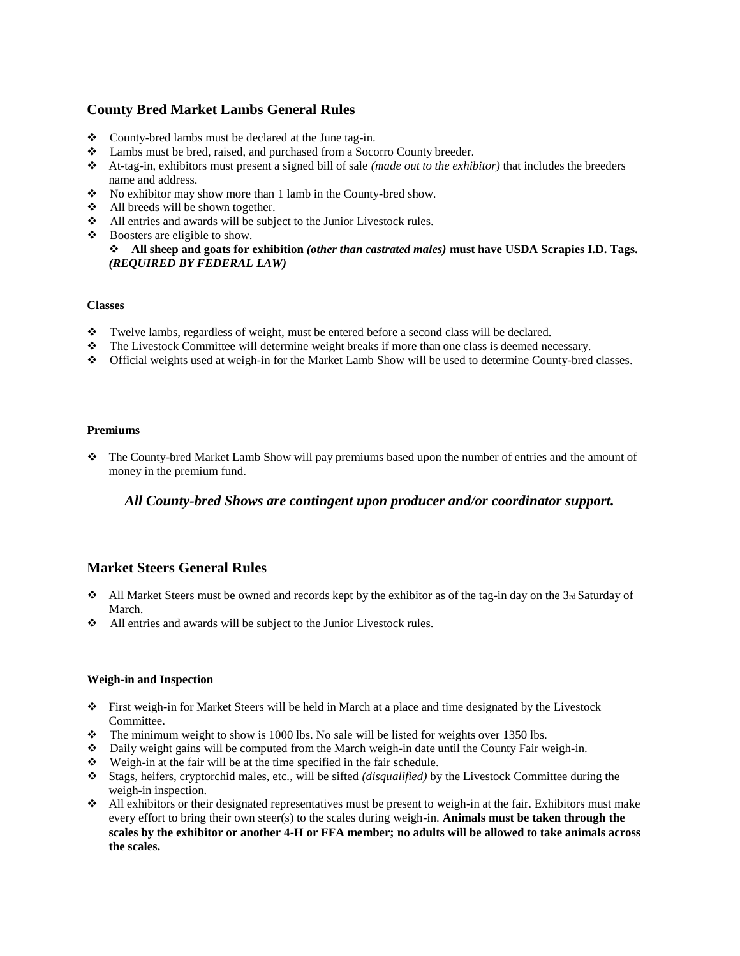# **County Bred Market Lambs General Rules**

- \* County-bred lambs must be declared at the June tag-in.
- Lambs must be bred, raised, and purchased from a Socorro County breeder.
- At-tag-in, exhibitors must present a signed bill of sale *(made out to the exhibitor)* that includes the breeders name and address.
- \* No exhibitor may show more than 1 lamb in the County-bred show.
- $\triangleleft$  All breeds will be shown together.
- All entries and awards will be subject to the Junior Livestock rules.
- Boosters are eligible to show.

```
 All sheep and goats for exhibition (other than castrated males) must have USDA Scrapies I.D. Tags.
(REQUIRED BY FEDERAL LAW)
```
#### **Classes**

- Twelve lambs, regardless of weight, must be entered before a second class will be declared.
- The Livestock Committee will determine weight breaks if more than one class is deemed necessary.
- Official weights used at weigh-in for the Market Lamb Show will be used to determine County-bred classes.

#### **Premiums**

 The County-bred Market Lamb Show will pay premiums based upon the number of entries and the amount of money in the premium fund.

## *All County-bred Shows are contingent upon producer and/or coordinator support.*

## **Market Steers General Rules**

- $\triangleleft$  All Market Steers must be owned and records kept by the exhibitor as of the tag-in day on the 3rd Saturday of March.
- All entries and awards will be subject to the Junior Livestock rules.

#### **Weigh-in and Inspection**

- First weigh-in for Market Steers will be held in March at a place and time designated by the Livestock Committee.
- \* The minimum weight to show is 1000 lbs. No sale will be listed for weights over 1350 lbs.
- Daily weight gains will be computed from the March weigh-in date until the County Fair weigh-in.
- $\div$  Weigh-in at the fair will be at the time specified in the fair schedule.
- Stags, heifers, cryptorchid males, etc., will be sifted *(disqualified)* by the Livestock Committee during the weigh-in inspection.
- $\triangleleft$  All exhibitors or their designated representatives must be present to weigh-in at the fair. Exhibitors must make every effort to bring their own steer(s) to the scales during weigh-in. **Animals must be taken through the scales by the exhibitor or another 4-H or FFA member; no adults will be allowed to take animals across the scales.**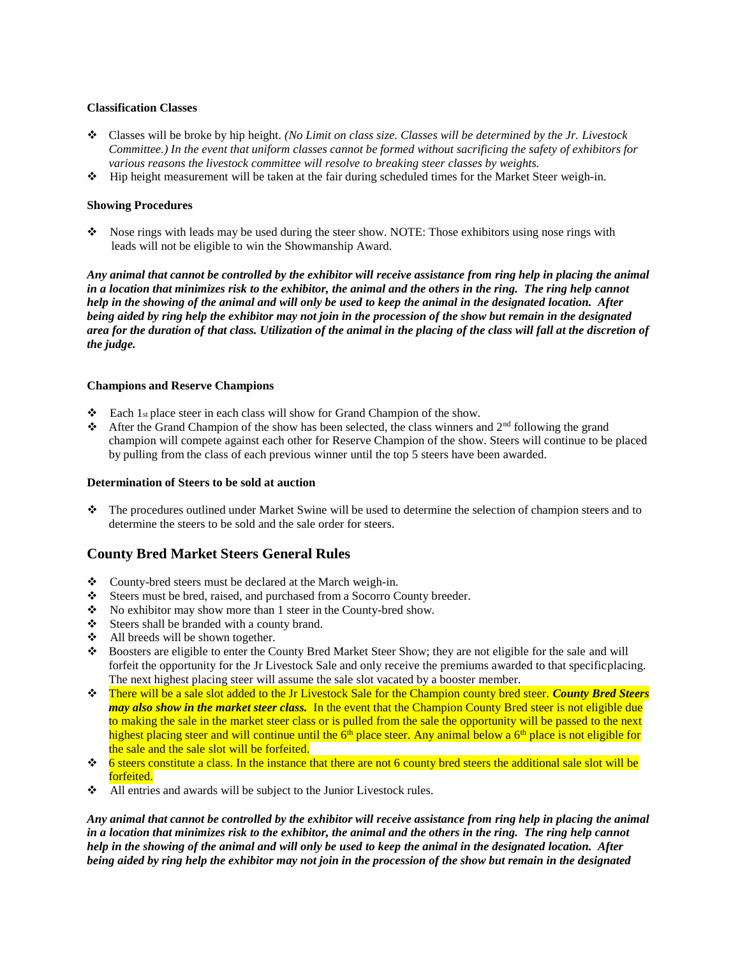### **Classification Classes**

- Classes will be broke by hip height. *(No Limit on class size. Classes will be determined by the Jr. Livestock Committee.) In the event that uniform classes cannot be formed without sacrificing the safety of exhibitors for various reasons the livestock committee will resolve to breaking steer classes by weights.*
- Hip height measurement will be taken at the fair during scheduled times for the Market Steer weigh-in.

### **Showing Procedures**

 Nose rings with leads may be used during the steer show. NOTE: Those exhibitors using nose rings with leads will not be eligible to win the Showmanship Award.

Any animal that cannot be controlled by the exhibitor will receive assistance from ring help in placing the animal *in a location that minimizes risk to the exhibitor, the animal and the others in the ring. The ring help cannot help in the showing of the animal and will only be used to keep the animal in the designated location. After being aided by ring help the exhibitor may not join in the procession of the show but remain in the designated area for the duration of that class. Utilization of the animal in the placing of the class will fall at the discretion of the judge.*

### **Champions and Reserve Champions**

- **Each 1st place steer in each class will show for Grand Champion of the show.**
- After the Grand Champion of the show has been selected, the class winners and  $2<sup>nd</sup>$  following the grand champion will compete against each other for Reserve Champion of the show. Steers will continue to be placed by pulling from the class of each previous winner until the top 5 steers have been awarded.

#### **Determination of Steers to be sold at auction**

 The procedures outlined under Market Swine will be used to determine the selection of champion steers and to determine the steers to be sold and the sale order for steers.

## **County Bred Market Steers General Rules**

- County-bred steers must be declared at the March weigh-in.
- Steers must be bred, raised, and purchased from a Socorro County breeder.
- \* No exhibitor may show more than 1 steer in the County-bred show.
- Steers shall be branded with a county brand.
- All breeds will be shown together.
- Boosters are eligible to enter the County Bred Market Steer Show; they are not eligible for the sale and will forfeit the opportunity for the Jr Livestock Sale and only receive the premiums awarded to that specificplacing. The next highest placing steer will assume the sale slot vacated by a booster member.
- There will be a sale slot added to the Jr Livestock Sale for the Champion county bred steer. *County Bred Steers may also show in the market steer class.* In the event that the Champion County Bred steer is not eligible due to making the sale in the market steer class or is pulled from the sale the opportunity will be passed to the next highest placing steer and will continue until the  $6<sup>th</sup>$  place steer. Any animal below a  $6<sup>th</sup>$  place is not eligible for the sale and the sale slot will be forfeited.
- $\div$  6 steers constitute a class. In the instance that there are not 6 county bred steers the additional sale slot will be forfeited.
- All entries and awards will be subject to the Junior Livestock rules.

Any animal that cannot be controlled by the exhibitor will receive assistance from ring help in placing the animal *in a location that minimizes risk to the exhibitor, the animal and the others in the ring. The ring help cannot help in the showing of the animal and will only be used to keep the animal in the designated location. After* being aided by ring help the exhibitor may not join in the procession of the show but remain in the designated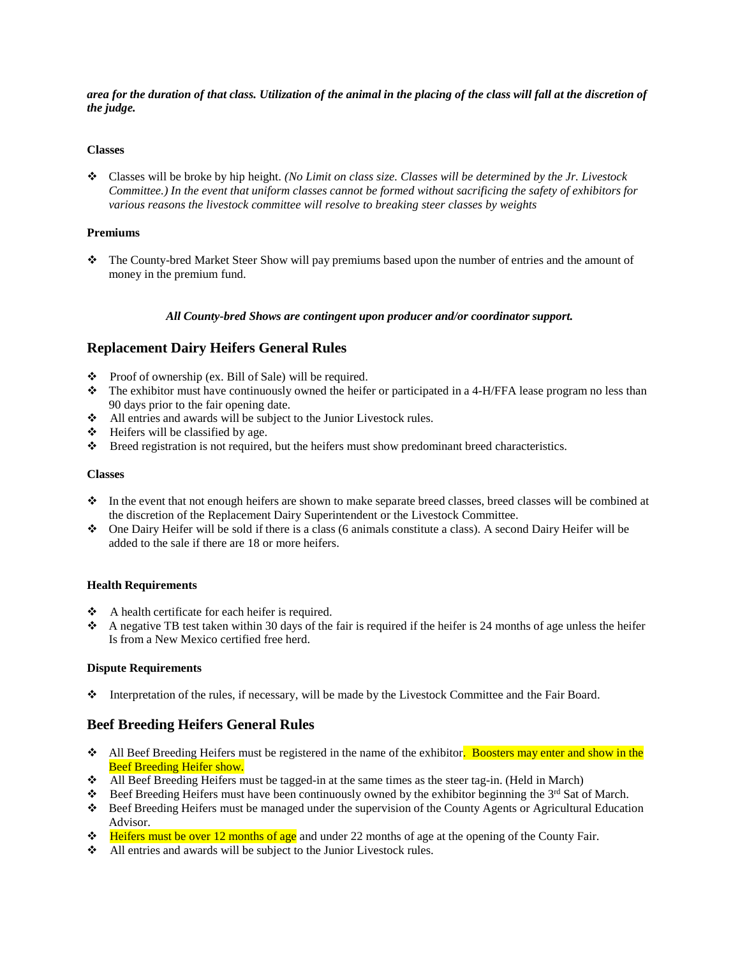area for the duration of that class. Utilization of the animal in the placing of the class will fall at the discretion of *the judge.*

### **Classes**

 Classes will be broke by hip height. *(No Limit on class size. Classes will be determined by the Jr. Livestock Committee.) In the event that uniform classes cannot be formed without sacrificing the safety of exhibitors for various reasons the livestock committee will resolve to breaking steer classes by weights*

#### **Premiums**

 The County-bred Market Steer Show will pay premiums based upon the number of entries and the amount of money in the premium fund.

### *All County-bred Shows are contingent upon producer and/or coordinator support.*

## **Replacement Dairy Heifers General Rules**

- Proof of ownership (ex. Bill of Sale) will be required.
- \* The exhibitor must have continuously owned the heifer or participated in a 4-H/FFA lease program no less than 90 days prior to the fair opening date.
- All entries and awards will be subject to the Junior Livestock rules.
- $\div$  Heifers will be classified by age.
- Breed registration is not required, but the heifers must show predominant breed characteristics.

### **Classes**

- In the event that not enough heifers are shown to make separate breed classes, breed classes will be combined at the discretion of the Replacement Dairy Superintendent or the Livestock Committee.
- One Dairy Heifer will be sold if there is a class (6 animals constitute a class). A second Dairy Heifer will be added to the sale if there are 18 or more heifers.

#### **Health Requirements**

- $\triangle$  A health certificate for each heifer is required.
- A negative TB test taken within 30 days of the fair is required if the heifer is 24 months of age unless the heifer Is from a New Mexico certified free herd.

## **Dispute Requirements**

Interpretation of the rules, if necessary, will be made by the Livestock Committee and the Fair Board.

## **Beef Breeding Heifers General Rules**

- All Beef Breeding Heifers must be registered in the name of the exhibitor. Boosters may enter and show in the Beef Breeding Heifer show.
- All Beef Breeding Heifers must be tagged-in at the same times as the steer tag-in. (Held in March)
- ◆ Beef Breeding Heifers must have been continuously owned by the exhibitor beginning the 3<sup>rd</sup> Sat of March.
- Beef Breeding Heifers must be managed under the supervision of the County Agents or Agricultural Education Advisor.
- Heifers must be over 12 months of age and under 22 months of age at the opening of the County Fair.
- All entries and awards will be subject to the Junior Livestock rules.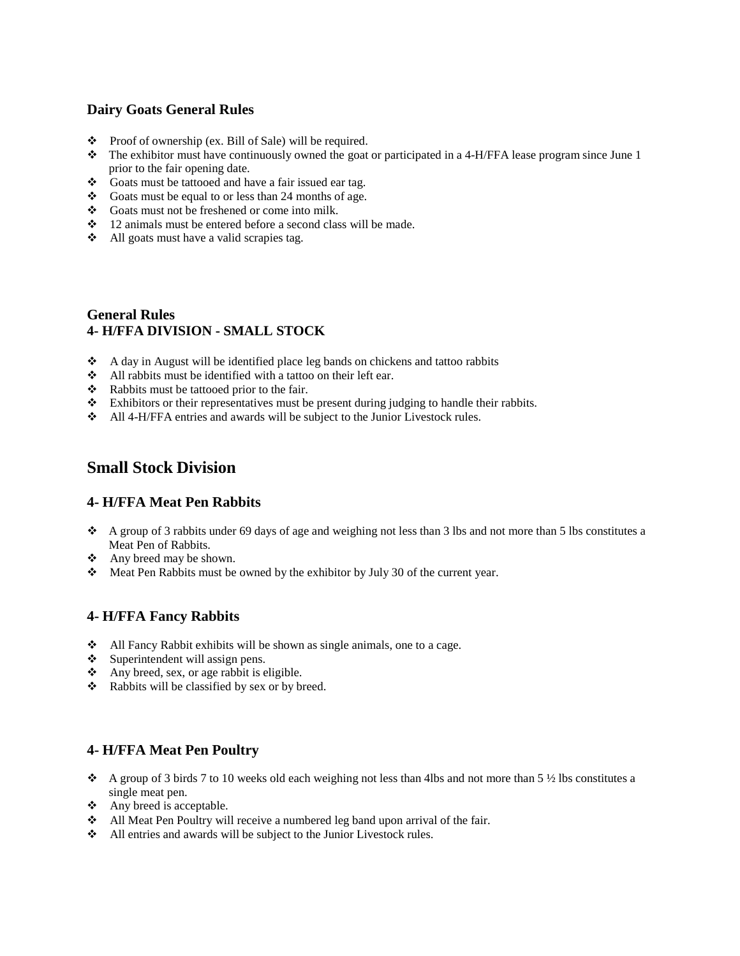## **Dairy Goats General Rules**

- $\bullet$  Proof of ownership (ex. Bill of Sale) will be required.
- $\bullet$  The exhibitor must have continuously owned the goat or participated in a 4-H/FFA lease program since June 1 prior to the fair opening date.
- Goats must be tattooed and have a fair issued ear tag.
- Goats must be equal to or less than 24 months of age.
- Goats must not be freshened or come into milk.
- 12 animals must be entered before a second class will be made.
- All goats must have a valid scrapies tag.

# **General Rules 4- H/FFA DIVISION - SMALL STOCK**

- A day in August will be identified place leg bands on chickens and tattoo rabbits
- All rabbits must be identified with a tattoo on their left ear.
- Rabbits must be tattooed prior to the fair.
- Exhibitors or their representatives must be present during judging to handle their rabbits.
- All 4-H/FFA entries and awards will be subject to the Junior Livestock rules.

# **Small Stock Division**

## **4- H/FFA Meat Pen Rabbits**

- $\triangle$  A group of 3 rabbits under 69 days of age and weighing not less than 3 lbs and not more than 5 lbs constitutes a Meat Pen of Rabbits.
- Any breed may be shown.
- Meat Pen Rabbits must be owned by the exhibitor by July 30 of the current year.

## **4- H/FFA Fancy Rabbits**

- $\triangleleft$  All Fancy Rabbit exhibits will be shown as single animals, one to a cage.
- $\div$  Superintendent will assign pens.
- $\triangle$  Any breed, sex, or age rabbit is eligible.
- \* Rabbits will be classified by sex or by breed.

## **4- H/FFA Meat Pen Poultry**

- A group of 3 birds 7 to 10 weeks old each weighing not less than 4lbs and not more than 5  $\frac{1}{2}$  lbs constitutes a single meat pen.
- $\triangle$  Any breed is acceptable.
- All Meat Pen Poultry will receive a numbered leg band upon arrival of the fair.
- All entries and awards will be subject to the Junior Livestock rules.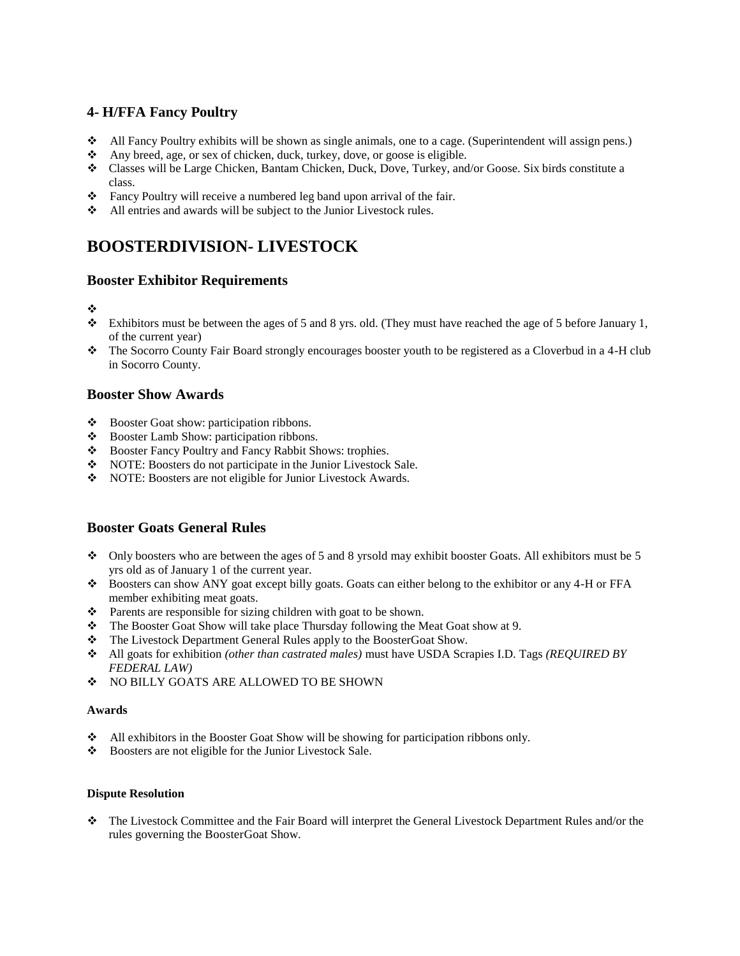## **4- H/FFA Fancy Poultry**

- $\triangle$  All Fancy Poultry exhibits will be shown as single animals, one to a cage. (Superintendent will assign pens.)
- Any breed, age, or sex of chicken, duck, turkey, dove, or goose is eligible.
- Classes will be Large Chicken, Bantam Chicken, Duck, Dove, Turkey, and/or Goose. Six birds constitute a class.
- Fancy Poultry will receive a numbered leg band upon arrival of the fair.
- All entries and awards will be subject to the Junior Livestock rules.

# **BOOSTERDIVISION- LIVESTOCK**

## **Booster Exhibitor Requirements**

## ❖

- $\bullet$  Exhibitors must be between the ages of 5 and 8 yrs. old. (They must have reached the age of 5 before January 1, of the current year)
- The Socorro County Fair Board strongly encourages booster youth to be registered as a Cloverbud in a 4-H club in Socorro County.

# **Booster Show Awards**

- Booster Goat show: participation ribbons.
- Booster Lamb Show: participation ribbons.
- \* Booster Fancy Poultry and Fancy Rabbit Shows: trophies.
- NOTE: Boosters do not participate in the Junior Livestock Sale.
- NOTE: Boosters are not eligible for Junior Livestock Awards.

# **Booster Goats General Rules**

- Only boosters who are between the ages of 5 and 8 yrs old may exhibit booster Goats. All exhibitors must be 5 yrs old as of January 1 of the current year.
- \* Boosters can show ANY goat except billy goats. Goats can either belong to the exhibitor or any 4-H or FFA member exhibiting meat goats.
- Parents are responsible for sizing children with goat to be shown.
- \* The Booster Goat Show will take place Thursday following the Meat Goat show at 9.
- \* The Livestock Department General Rules apply to the BoosterGoat Show.
- All goats for exhibition *(other than castrated males)* must have USDA Scrapies I.D. Tags *(REQUIRED BY FEDERAL LAW)*
- ◆ NO BILLY GOATS ARE ALLOWED TO BE SHOWN

## **Awards**

- All exhibitors in the Booster Goat Show will be showing for participation ribbons only.
- Boosters are not eligible for the Junior Livestock Sale.

## **Dispute Resolution**

 The Livestock Committee and the Fair Board will interpret the General Livestock Department Rules and/or the rules governing the BoosterGoat Show.